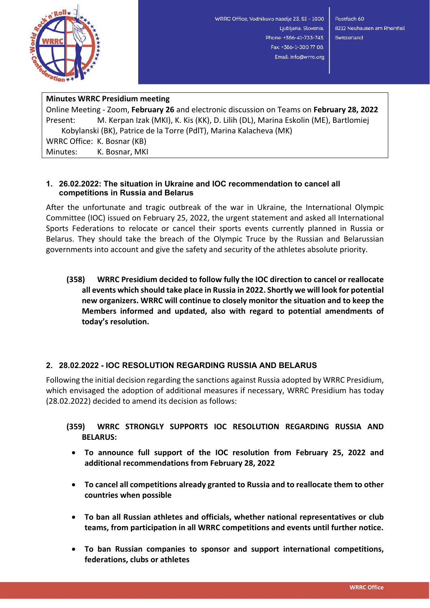

WRRC Office, Vodnikovo naselje 23, SI - 1000 Ljubljana, Slovenia, Phone: +386-41-733-743. Fax: +386-1-300 77 08, Email: info@wrrc.org

Postfach 60 8212 Neuhausen am Rheinfall Switzerland

## **Minutes WRRC Presidium meeting**

Online Meeting - Zoom, **February 26** and electronic discussion on Teams on **February 28, 2022** Present: M. Kerpan Izak (MKI), K. Kis (KK), D. Lilih (DL), Marina Eskolin (ME), Bartlomiej Kobylanski (BK), Patrice de la Torre (PdlT), Marina Kalacheva (MK) WRRC Office: K. Bosnar (KB) Minutes: K. Bosnar, MKI

## **1. 26.02.2022: The situation in Ukraine and IOC recommendation to cancel all competitions in Russia and Belarus**

After the unfortunate and tragic outbreak of the war in Ukraine, the International Olympic Committee (IOC) issued on February 25, 2022, the urgent statement and asked all International Sports Federations to relocate or cancel their sports events currently planned in Russia or Belarus. They should take the breach of the Olympic Truce by the Russian and Belarussian governments into account and give the safety and security of the athletes absolute priority.

**(358) WRRC Presidium decided to follow fully the IOC direction to cancel or reallocate all events which should take place in Russia in 2022. Shortly we will look for potential new organizers. WRRC will continue to closely monitor the situation and to keep the Members informed and updated, also with regard to potential amendments of today's resolution.**

## **2. 28.02.2022 - IOC RESOLUTION REGARDING RUSSIA AND BELARUS**

Following the initial decision regarding the sanctions against Russia adopted by WRRC Presidium, which envisaged the adoption of additional measures if necessary, WRRC Presidium has today (28.02.2022) decided to amend its decision as follows:

## **(359) WRRC STRONGLY SUPPORTS IOC RESOLUTION REGARDING RUSSIA AND BELARUS:**

- **To announce full support of the IOC resolution from February 25, 2022 and additional recommendations from February 28, 2022**
- **To cancel all competitions already granted to Russia and to reallocate them to other countries when possible**
- **To ban all Russian athletes and officials, whether national representatives or club teams, from participation in all WRRC competitions and events until further notice.**
- **To ban Russian companies to sponsor and support international competitions, federations, clubs or athletes**